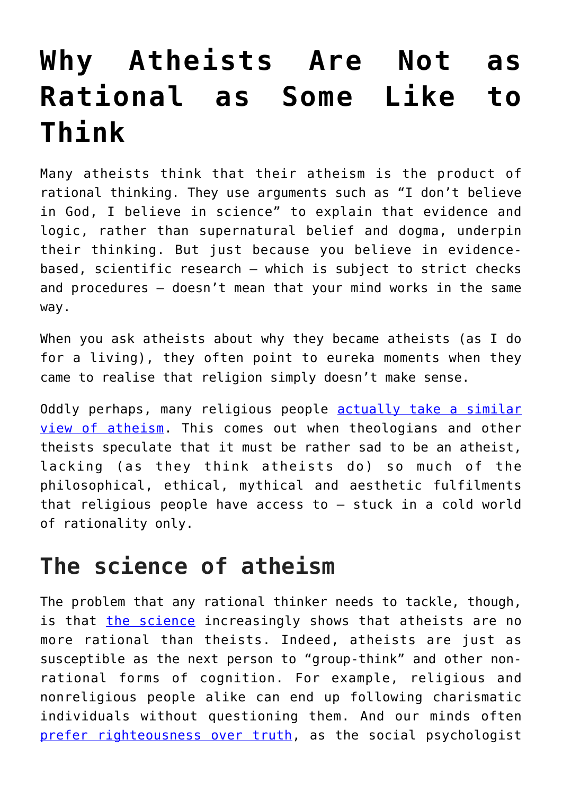## **[Why Atheists Are Not as](https://intellectualtakeout.org/2018/09/why-atheists-are-not-as-rational-as-some-like-to-think/) [Rational as Some Like to](https://intellectualtakeout.org/2018/09/why-atheists-are-not-as-rational-as-some-like-to-think/) [Think](https://intellectualtakeout.org/2018/09/why-atheists-are-not-as-rational-as-some-like-to-think/)**

Many atheists think that their atheism is the product of rational thinking. They use arguments such as "I don't believe in God, I believe in science" to explain that evidence and logic, rather than supernatural belief and dogma, underpin their thinking. But just because you believe in evidencebased, scientific research – which is subject to strict checks and procedures – doesn't mean that your mind works in the same way.

When you ask atheists about why they became atheists (as I do for a living), they often point to eureka moments when they came to realise that religion simply doesn't make sense.

Oddly perhaps, many religious people [actually take a similar](https://www.routledge.com/Religion-and-Atheism-Beyond-the-Divide/Carroll-Norman/p/book/9781138891913) [view of atheism](https://www.routledge.com/Religion-and-Atheism-Beyond-the-Divide/Carroll-Norman/p/book/9781138891913). This comes out when theologians and other theists speculate that it must be rather sad to be an atheist, lacking (as they think atheists do) so much of the philosophical, ethical, mythical and aesthetic fulfilments that religious people have access to – stuck in a cold world of rationality only.

## **The science of atheism**

The problem that any rational thinker needs to tackle, though, is that [the science](https://www.newscientist.com/article/mg20928055-600-religion-is-irrational-but-so-is-atheism/) increasingly shows that atheists are no more rational than theists. Indeed, atheists are just as susceptible as the next person to "group-think" and other nonrational forms of cognition. For example, religious and nonreligious people alike can end up following charismatic individuals without questioning them. And our minds often [prefer righteousness over truth,](https://righteousmind.com/) as the social psychologist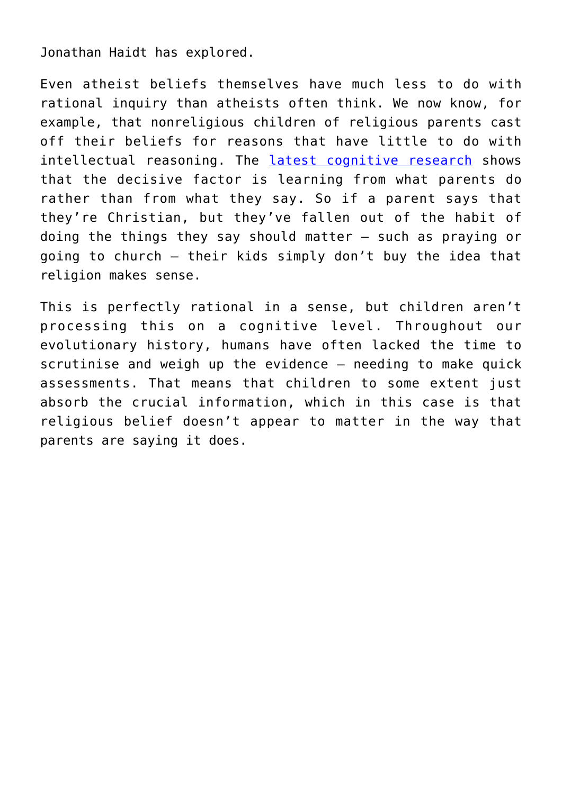Jonathan Haidt has explored.

Even atheist beliefs themselves have much less to do with rational inquiry than atheists often think. We now know, for example, that nonreligious children of religious parents cast off their beliefs for reasons that have little to do with intellectual reasoning. The [latest cognitive research](https://pure.qub.ac.uk/portal/en/publications/religious-actions-speak-louder-than-words-exposure-to-credibility-enhancing-displays-predicts-theism(6386ffa5-3d22-4080-8d6f-78ef6e36744f).html) shows that the decisive factor is learning from what parents do rather than from what they say. So if a parent says that they're Christian, but they've fallen out of the habit of doing the things they say should matter – such as praying or going to church – their kids simply don't buy the idea that religion makes sense.

This is perfectly rational in a sense, but children aren't processing this on a cognitive level. Throughout our evolutionary history, humans have often lacked the time to scrutinise and weigh up the evidence – needing to make quick assessments. That means that children to some extent just absorb the crucial information, which in this case is that religious belief doesn't appear to matter in the way that parents are saying it does.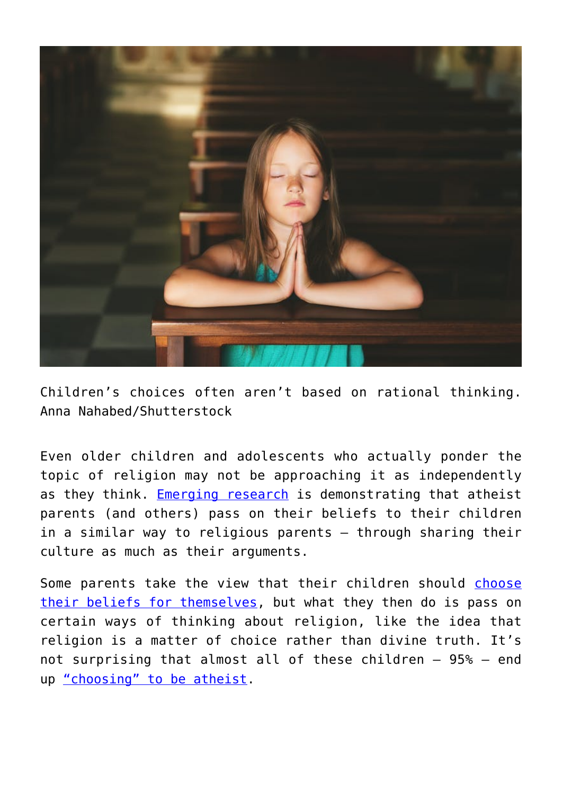

Children's choices often aren't based on rational thinking. Anna Nahabed/Shutterstock

Even older children and adolescents who actually ponder the topic of religion may not be approaching it as independently as they think. [Emerging research](https://research.kent.ac.uk/understandingunbelief/research/research-projects-2/strhan/) is demonstrating that atheist parents (and others) pass on their beliefs to their children in a similar way to religious parents – through sharing their culture as much as their arguments.

Some parents take the view that their children should [choose](https://nyupress.org/books/9781479883202/) [their beliefs for themselves,](https://nyupress.org/books/9781479883202/) but what they then do is pass on certain ways of thinking about religion, like the idea that religion is a matter of choice rather than divine truth. It's not surprising that almost all of these children – 95% – end up ["choosing" to be atheist.](https://www.britac.ac.uk/sites/default/files/11%20Woodhead%201825.pdf)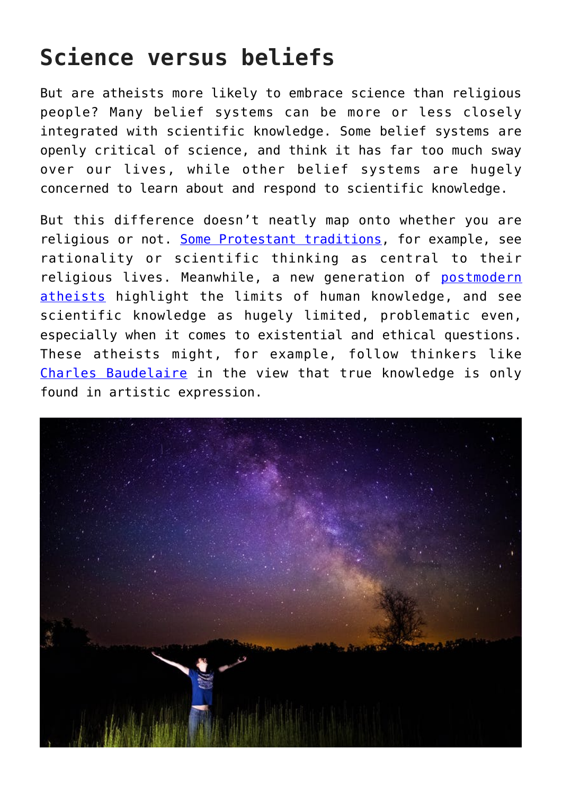## **Science versus beliefs**

But are atheists more likely to embrace science than religious people? Many belief systems can be more or less closely integrated with scientific knowledge. Some belief systems are openly critical of science, and think it has far too much sway over our lives, while other belief systems are hugely concerned to learn about and respond to scientific knowledge.

But this difference doesn't neatly map onto whether you are religious or not. [Some Protestant traditions,](https://blog.oup.com/2015/10/for-the-love-of-reason/) for example, see rationality or scientific thinking as central to their religious lives. Meanwhile, a new generation of [postmodern](https://global.oup.com/academic/product/recognizing-the-non-religious-9780198736844?cc=gb&lang=en&) [atheists](https://global.oup.com/academic/product/recognizing-the-non-religious-9780198736844?cc=gb&lang=en&) highlight the limits of human knowledge, and see scientific knowledge as hugely limited, problematic even, especially when it comes to existential and ethical questions. These atheists might, for example, follow thinkers like [Charles Baudelaire](https://en.wikipedia.org/wiki/Charles_Baudelaire) in the view that true knowledge is only found in artistic expression.

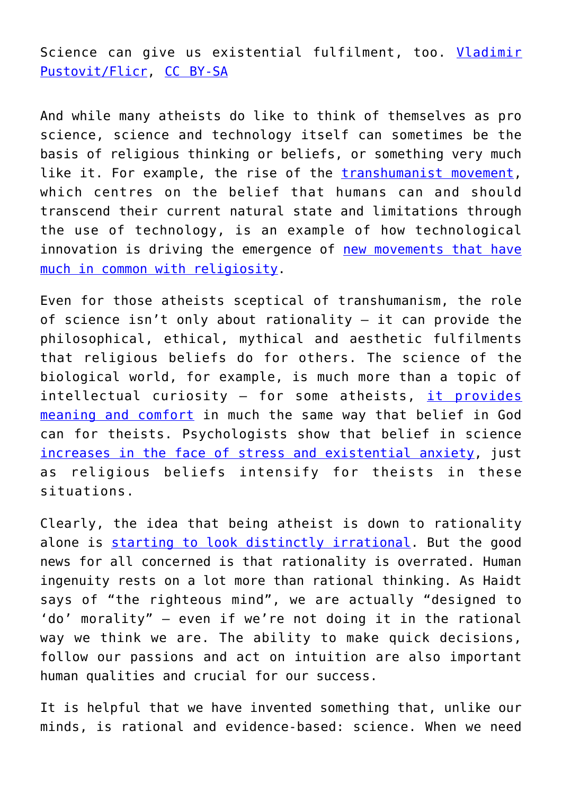Science can give us existential fulfilment, too. [Vladimir](https://www.flickr.com/photos/pustovit/18865867402) [Pustovit/Flicr](https://www.flickr.com/photos/pustovit/18865867402), [CC BY-SA](http://creativecommons.org/licenses/by-sa/4.0/)

And while many atheists do like to think of themselves as pro science, science and technology itself can sometimes be the basis of religious thinking or beliefs, or something very much like it. For example, the rise of the [transhumanist movement,](https://theconversation.com/super-intelligence-and-eternal-life-transhumanisms-faithful-follow-it-blindly-into-a-future-for-the-elite-78538) which centres on the belief that humans can and should transcend their current natural state and limitations through the use of technology, is an example of how technological innovation is driving the emergence of [new movements that have](https://aeon.co/essays/why-is-the-language-of-transhumanists-and-religion-so-similar) [much in common with religiosity](https://aeon.co/essays/why-is-the-language-of-transhumanists-and-religion-so-similar).

Even for those atheists sceptical of transhumanism, the role of science isn't only about rationality – it can provide the philosophical, ethical, mythical and aesthetic fulfilments that religious beliefs do for others. The science of the biological world, for example, is much more than a topic of intellectual curiosity - for some atheists, [it provides](https://global.oup.com/academic/product/recognizing-the-non-religious-9780198736844?cc=gb&lang=en&) [meaning and comfort](https://global.oup.com/academic/product/recognizing-the-non-religious-9780198736844?cc=gb&lang=en&) in much the same way that belief in God can for theists. Psychologists show that belief in science [increases in the face of stress and existential anxiety,](https://www.ncbi.nlm.nih.gov/pmc/articles/PMC3807800/) just as religious beliefs intensify for theists in these situations.

Clearly, the idea that being atheist is down to rationality alone is [starting to look distinctly irrational](https://theconversation.com/is-it-rational-to-trust-your-gut-feelings-a-neuroscientist-explains-95086). But the good news for all concerned is that rationality is overrated. Human ingenuity rests on a lot more than rational thinking. As Haidt says of "the righteous mind", we are actually "designed to 'do' morality" – even if we're not doing it in the rational way we think we are. The ability to make quick decisions, follow our passions and act on intuition are also important human qualities and crucial for our success.

It is helpful that we have invented something that, unlike our minds, is rational and evidence-based: science. When we need